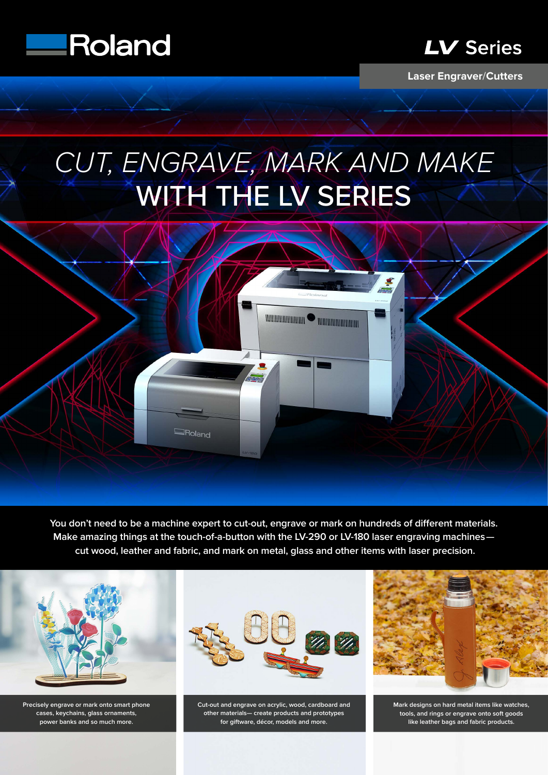



**Laser Engraver**/**Cutters**

# *CUT, ENGRAVE, MARK AND MAKE* WITH THE LV SERIES



You don't need to be a machine expert to cut-out, engrave or mark on hundreds of different materials. **Make amazing things at the touch-of-a-button with the LV-290 or LV-180 laser engraving machines cut wood, leather and fabric, and mark on metal, glass and other items with laser precision.**



**Precisely engrave or mark onto smart phone cases, keychains, glass ornaments, power banks and so much more.**



**Cut-out and engrave on acrylic, wood, cardboard and other materials— create products and prototypes for giftware, décor, models and more.**



**Mark designs on hard metal items like watches, tools, and rings or engrave onto soft goods like leather bags and fabric products.**